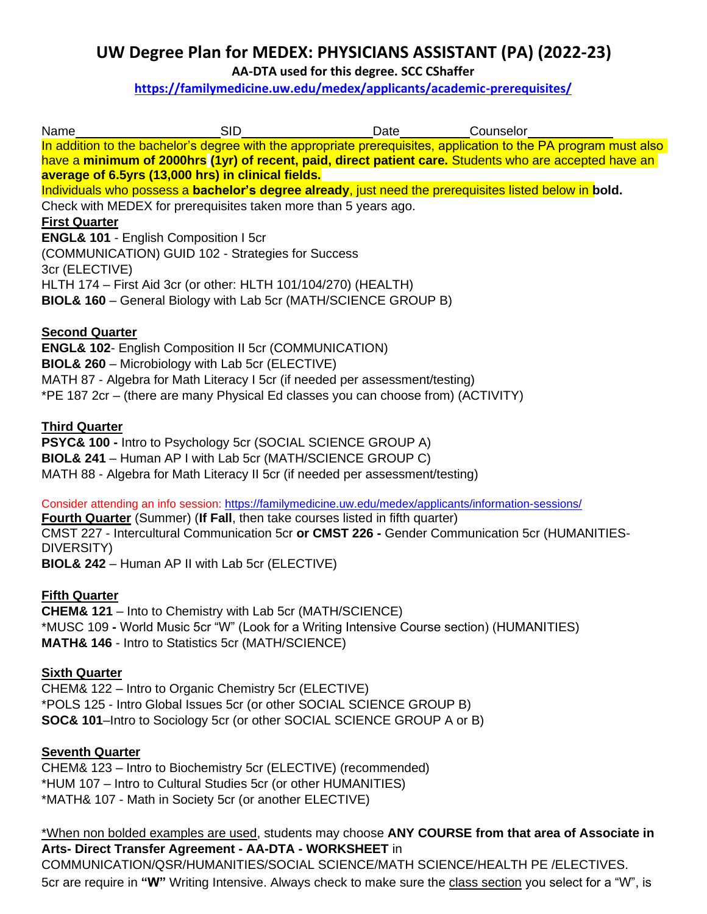# **UW Degree Plan for MEDEX: PHYSICIANS ASSISTANT (PA) (2022-23)**

**AA-DTA used for this degree. SCC CShaffer** 

**<https://familymedicine.uw.edu/medex/applicants/academic-prerequisites/>**

| Name                  | SID.                                                                                                             | Date | Counselor |  |
|-----------------------|------------------------------------------------------------------------------------------------------------------|------|-----------|--|
|                       | In addition to the bachelor's degree with the appropriate prerequisites, application to the PA program must also |      |           |  |
|                       | have a <b>minimum of 2000hrs (1yr) of recent, paid, direct patient care.</b> Students who are accepted have an   |      |           |  |
|                       | average of 6.5yrs (13,000 hrs) in clinical fields.                                                               |      |           |  |
|                       | Individuals who possess a bachelor's degree already, just need the prerequisites listed below in bold.           |      |           |  |
|                       | Check with MEDEX for prerequisites taken more than 5 years ago.                                                  |      |           |  |
| <b>First Quarter</b>  |                                                                                                                  |      |           |  |
|                       | <b>ENGL&amp; 101 - English Composition I 5cr</b>                                                                 |      |           |  |
|                       | (COMMUNICATION) GUID 102 - Strategies for Success                                                                |      |           |  |
| 3cr (ELECTIVE)        |                                                                                                                  |      |           |  |
|                       | HLTH 174 – First Aid 3cr (or other: HLTH 101/104/270) (HEALTH)                                                   |      |           |  |
|                       | <b>BIOL&amp; 160</b> – General Biology with Lab 5cr (MATH/SCIENCE GROUP B)                                       |      |           |  |
| <b>Second Quarter</b> |                                                                                                                  |      |           |  |

**ENGL& 102**- English Composition II 5cr (COMMUNICATION) **BIOL& 260** – Microbiology with Lab 5cr (ELECTIVE) MATH 87 - Algebra for Math Literacy I 5cr (if needed per assessment/testing) \*PE 187 2cr – (there are many Physical Ed classes you can choose from) (ACTIVITY)

# **Third Quarter**

**PSYC& 100 -** Intro to Psychology 5cr (SOCIAL SCIENCE GROUP A) **BIOL& 241** – Human AP I with Lab 5cr (MATH/SCIENCE GROUP C) MATH 88 - Algebra for Math Literacy II 5cr (if needed per assessment/testing)

Consider attending an info session:<https://familymedicine.uw.edu/medex/applicants/information-sessions/>

**Fourth Quarter** (Summer) (**If Fall**, then take courses listed in fifth quarter) CMST 227 - Intercultural Communication 5cr **or CMST 226 -** Gender Communication 5cr (HUMANITIES-DIVERSITY)

**BIOL& 242** – Human AP II with Lab 5cr (ELECTIVE)

# **Fifth Quarter**

**CHEM& 121** – Into to Chemistry with Lab 5cr (MATH/SCIENCE) \*MUSC 109 **-** World Music 5cr "W" (Look for a Writing Intensive Course section) (HUMANITIES) **MATH& 146** - Intro to Statistics 5cr (MATH/SCIENCE)

# **Sixth Quarter**

CHEM& 122 – Intro to Organic Chemistry 5cr (ELECTIVE) \*POLS 125 - Intro Global Issues 5cr (or other SOCIAL SCIENCE GROUP B) **SOC& 101**–Intro to Sociology 5cr (or other SOCIAL SCIENCE GROUP A or B)

# **Seventh Quarter**

CHEM& 123 – Intro to Biochemistry 5cr (ELECTIVE) (recommended) \*HUM 107 – Intro to Cultural Studies 5cr (or other HUMANITIES) \*MATH& 107 - Math in Society 5cr (or another ELECTIVE)

\*When non bolded examples are used, students may choose **ANY COURSE from that area of Associate in Arts- Direct Transfer Agreement - AA-DTA - WORKSHEET** in

COMMUNICATION/QSR/HUMANITIES/SOCIAL SCIENCE/MATH SCIENCE/HEALTH PE /ELECTIVES.

5cr are require in **"W"** Writing Intensive. Always check to make sure the class section you select for a "W", is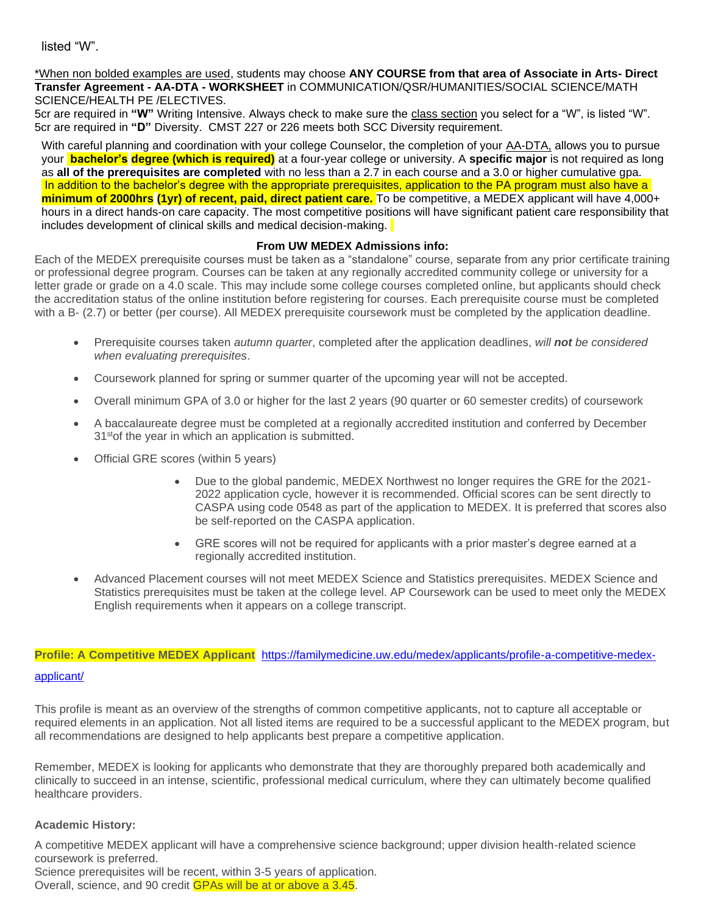listed "W".

\*When non bolded examples are used, students may choose **ANY COURSE from that area of Associate in Arts- Direct Transfer Agreement - AA-DTA - WORKSHEET** in COMMUNICATION/QSR/HUMANITIES/SOCIAL SCIENCE/MATH SCIENCE/HEALTH PE /ELECTIVES.

5cr are required in "W" Writing Intensive. Always check to make sure the class section you select for a "W", is listed "W". 5cr are required in **"D"** Diversity. CMST 227 or 226 meets both SCC Diversity requirement.

With careful planning and coordination with your college Counselor, the completion of your AA-DTA, allows you to pursue your **bachelor's degree (which is required)** at a four-year college or university. A **specific major** is not required as long as **all of the prerequisites are completed** with no less than a 2.7 in each course and a 3.0 or higher cumulative gpa. In addition to the bachelor's degree with the appropriate prerequisites, application to the PA program must also have a **minimum of 2000hrs (1yr) of recent, paid, direct patient care.** To be competitive, a MEDEX applicant will have 4,000+ hours in a direct hands-on care capacity. The most competitive positions will have significant patient care responsibility that includes development of clinical skills and medical decision-making.

#### **From UW MEDEX Admissions info:**

Each of the MEDEX prerequisite courses must be taken as a "standalone" course, separate from any prior certificate training or professional degree program. Courses can be taken at any regionally accredited community college or university for a letter grade or grade on a 4.0 scale. This may include some college courses completed online, but applicants should check the accreditation status of the online institution before registering for courses. Each prerequisite course must be completed with a B- (2.7) or better (per course). All MEDEX prerequisite coursework must be completed by the application deadline.

- Prerequisite courses taken *autumn quarter*, completed after the application deadlines, *will not be considered when evaluating prerequisites*.
- Coursework planned for spring or summer quarter of the upcoming year will not be accepted.
- Overall minimum GPA of 3.0 or higher for the last 2 years (90 quarter or 60 semester credits) of coursework
- A baccalaureate degree must be completed at a regionally accredited institution and conferred by December 31<sup>st</sup> of the year in which an application is submitted.
- Official GRE scores (within 5 years)
	- Due to the global pandemic, MEDEX Northwest no longer requires the GRE for the 2021- 2022 application cycle, however it is recommended. Official scores can be sent directly to CASPA using code 0548 as part of the application to MEDEX. It is preferred that scores also be self-reported on the CASPA application.
	- GRE scores will not be required for applicants with a prior master's degree earned at a regionally accredited institution.
- Advanced Placement courses will not meet MEDEX Science and Statistics prerequisites. MEDEX Science and Statistics prerequisites must be taken at the college level. AP Coursework can be used to meet only the MEDEX English requirements when it appears on a college transcript.

# **Profile: A Competitive MEDEX Applicant** [https://familymedicine.uw.edu/medex/applicants/profile-a-competitive-medex-](https://familymedicine.uw.edu/medex/applicants/profile-a-competitive-medex-applicant/)

[applicant/](https://familymedicine.uw.edu/medex/applicants/profile-a-competitive-medex-applicant/)

This profile is meant as an overview of the strengths of common competitive applicants, not to capture all acceptable or required elements in an application. Not all listed items are required to be a successful applicant to the MEDEX program, but all recommendations are designed to help applicants best prepare a competitive application.

Remember, MEDEX is looking for applicants who demonstrate that they are thoroughly prepared both academically and clinically to succeed in an intense, scientific, professional medical curriculum, where they can ultimately become qualified healthcare providers.

# **Academic History:**

A competitive MEDEX applicant will have a comprehensive science background; upper division health-related science coursework is preferred.

Science prerequisites will be recent, within 3-5 years of application. Overall, science, and 90 credit GPAs will be at or above a 3.45.